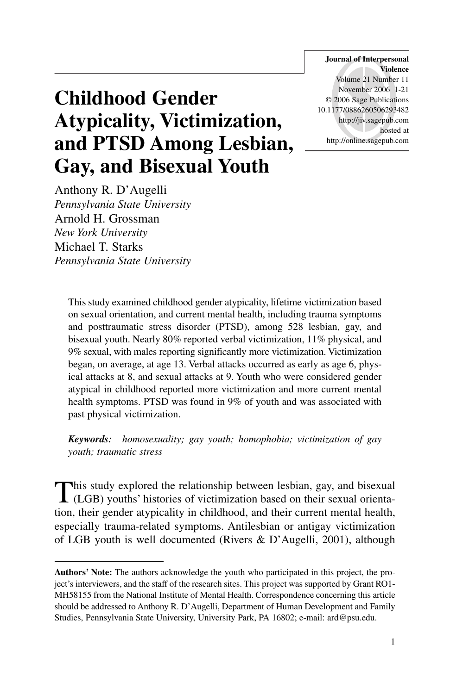**Journal of Interpersonal Violence** Volume 21 Number 11 November 2006 1-21 © 2006 Sage Publications 10.1177/0886260506293482 http://jiv.sagepub.com hosted at http://online.sagepub.com

# **Childhood Gender Atypicality, Victimization, and PTSD Among Lesbian, Gay, and Bisexual Youth**

Anthony R. D'Augelli *Pennsylvania State University* Arnold H. Grossman *New York University* Michael T. Starks *Pennsylvania State University*

This study examined childhood gender atypicality, lifetime victimization based on sexual orientation, and current mental health, including trauma symptoms and posttraumatic stress disorder (PTSD), among 528 lesbian, gay, and bisexual youth. Nearly 80% reported verbal victimization, 11% physical, and 9% sexual, with males reporting significantly more victimization. Victimization began, on average, at age 13. Verbal attacks occurred as early as age 6, physical attacks at 8, and sexual attacks at 9. Youth who were considered gender atypical in childhood reported more victimization and more current mental health symptoms. PTSD was found in 9% of youth and was associated with past physical victimization.

*Keywords: homosexuality; gay youth; homophobia; victimization of gay youth; traumatic stress*

This study explored the relationship between lesbian, gay, and bisexual (LGB) youths' histories of victimization based on their sexual orientation, their gender atypicality in childhood, and their current mental health, especially trauma-related symptoms. Antilesbian or antigay victimization of LGB youth is well documented (Rivers & D'Augelli, 2001), although

**Authors' Note:** The authors acknowledge the youth who participated in this project, the project's interviewers, and the staff of the research sites. This project was supported by Grant RO1- MH58155 from the National Institute of Mental Health. Correspondence concerning this article should be addressed to Anthony R. D'Augelli, Department of Human Development and Family Studies, Pennsylvania State University, University Park, PA 16802; e-mail: ard@psu.edu.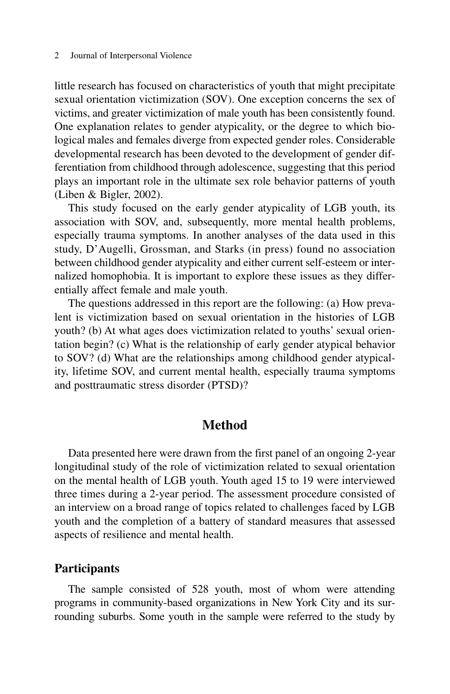#### 2 Journal of Interpersonal Violence

little research has focused on characteristics of youth that might precipitate sexual orientation victimization (SOV). One exception concerns the sex of victims, and greater victimization of male youth has been consistently found. One explanation relates to gender atypicality, or the degree to which biological males and females diverge from expected gender roles. Considerable developmental research has been devoted to the development of gender differentiation from childhood through adolescence, suggesting that this period plays an important role in the ultimate sex role behavior patterns of youth (Liben & Bigler, 2002).

This study focused on the early gender atypicality of LGB youth, its association with SOV, and, subsequently, more mental health problems, especially trauma symptoms. In another analyses of the data used in this study, D'Augelli, Grossman, and Starks (in press) found no association between childhood gender atypicality and either current self-esteem or internalized homophobia. It is important to explore these issues as they differentially affect female and male youth.

The questions addressed in this report are the following: (a) How prevalent is victimization based on sexual orientation in the histories of LGB youth? (b) At what ages does victimization related to youths' sexual orientation begin? (c) What is the relationship of early gender atypical behavior to SOV? (d) What are the relationships among childhood gender atypicality, lifetime SOV, and current mental health, especially trauma symptoms and posttraumatic stress disorder (PTSD)?

## **Method**

Data presented here were drawn from the first panel of an ongoing 2-year longitudinal study of the role of victimization related to sexual orientation on the mental health of LGB youth. Youth aged 15 to 19 were interviewed three times during a 2-year period. The assessment procedure consisted of an interview on a broad range of topics related to challenges faced by LGB youth and the completion of a battery of standard measures that assessed aspects of resilience and mental health.

#### **Participants**

The sample consisted of 528 youth, most of whom were attending programs in community-based organizations in New York City and its surrounding suburbs. Some youth in the sample were referred to the study by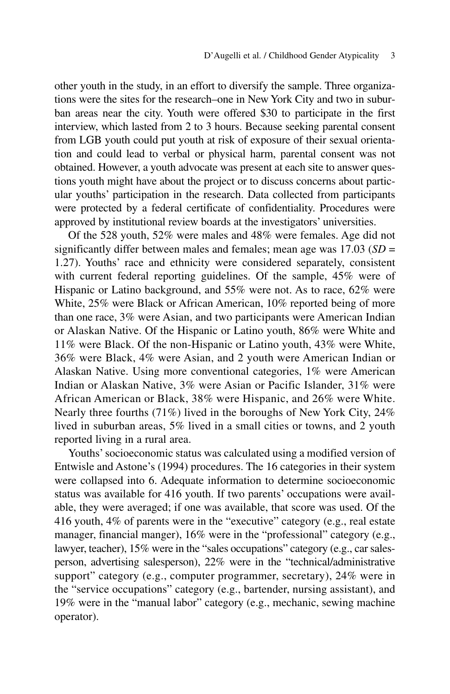other youth in the study, in an effort to diversify the sample. Three organizations were the sites for the research–one in New York City and two in suburban areas near the city. Youth were offered \$30 to participate in the first interview, which lasted from 2 to 3 hours. Because seeking parental consent from LGB youth could put youth at risk of exposure of their sexual orientation and could lead to verbal or physical harm, parental consent was not obtained. However, a youth advocate was present at each site to answer questions youth might have about the project or to discuss concerns about particular youths' participation in the research. Data collected from participants were protected by a federal certificate of confidentiality. Procedures were approved by institutional review boards at the investigators' universities.

Of the 528 youth, 52% were males and 48% were females. Age did not significantly differ between males and females; mean age was 17.03 (*SD* = 1.27). Youths' race and ethnicity were considered separately, consistent with current federal reporting guidelines. Of the sample, 45% were of Hispanic or Latino background, and 55% were not. As to race, 62% were White, 25% were Black or African American, 10% reported being of more than one race, 3% were Asian, and two participants were American Indian or Alaskan Native. Of the Hispanic or Latino youth, 86% were White and 11% were Black. Of the non-Hispanic or Latino youth, 43% were White, 36% were Black, 4% were Asian, and 2 youth were American Indian or Alaskan Native. Using more conventional categories, 1% were American Indian or Alaskan Native, 3% were Asian or Pacific Islander, 31% were African American or Black, 38% were Hispanic, and 26% were White. Nearly three fourths (71%) lived in the boroughs of New York City, 24% lived in suburban areas, 5% lived in a small cities or towns, and 2 youth reported living in a rural area.

Youths' socioeconomic status was calculated using a modified version of Entwisle and Astone's (1994) procedures. The 16 categories in their system were collapsed into 6. Adequate information to determine socioeconomic status was available for 416 youth. If two parents' occupations were available, they were averaged; if one was available, that score was used. Of the 416 youth, 4% of parents were in the "executive" category (e.g., real estate manager, financial manger), 16% were in the "professional" category (e.g., lawyer, teacher), 15% were in the "sales occupations" category (e.g., car salesperson, advertising salesperson), 22% were in the "technical/administrative support" category (e.g., computer programmer, secretary), 24% were in the "service occupations" category (e.g., bartender, nursing assistant), and 19% were in the "manual labor" category (e.g., mechanic, sewing machine operator).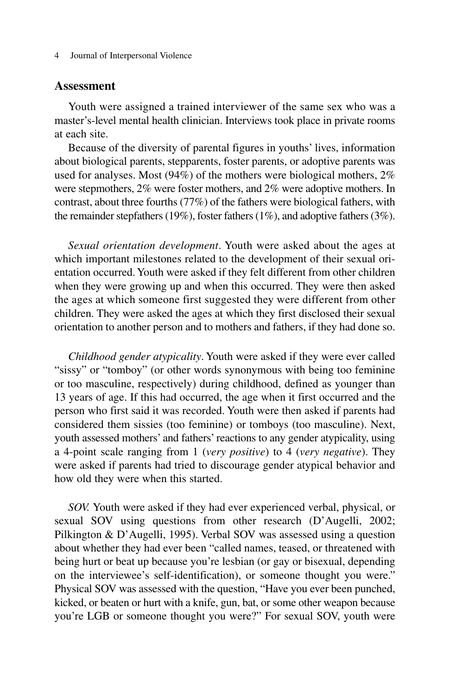4 Journal of Interpersonal Violence

### **Assessment**

Youth were assigned a trained interviewer of the same sex who was a master's-level mental health clinician. Interviews took place in private rooms at each site.

Because of the diversity of parental figures in youths' lives, information about biological parents, stepparents, foster parents, or adoptive parents was used for analyses. Most (94%) of the mothers were biological mothers, 2% were stepmothers, 2% were foster mothers, and 2% were adoptive mothers. In contrast, about three fourths (77%) of the fathers were biological fathers, with the remainder stepfathers (19%), foster fathers (1%), and adoptive fathers (3%).

*Sexual orientation development*. Youth were asked about the ages at which important milestones related to the development of their sexual orientation occurred. Youth were asked if they felt different from other children when they were growing up and when this occurred. They were then asked the ages at which someone first suggested they were different from other children. They were asked the ages at which they first disclosed their sexual orientation to another person and to mothers and fathers, if they had done so.

*Childhood gender atypicality*. Youth were asked if they were ever called "sissy" or "tomboy" (or other words synonymous with being too feminine or too masculine, respectively) during childhood, defined as younger than 13 years of age. If this had occurred, the age when it first occurred and the person who first said it was recorded. Youth were then asked if parents had considered them sissies (too feminine) or tomboys (too masculine). Next, youth assessed mothers' and fathers' reactions to any gender atypicality, using a 4-point scale ranging from 1 (*very positive*) to 4 (*very negative*). They were asked if parents had tried to discourage gender atypical behavior and how old they were when this started.

*SOV.* Youth were asked if they had ever experienced verbal, physical, or sexual SOV using questions from other research (D'Augelli, 2002; Pilkington & D'Augelli, 1995). Verbal SOV was assessed using a question about whether they had ever been "called names, teased, or threatened with being hurt or beat up because you're lesbian (or gay or bisexual, depending on the interviewee's self-identification), or someone thought you were." Physical SOV was assessed with the question, "Have you ever been punched, kicked, or beaten or hurt with a knife, gun, bat, or some other weapon because you're LGB or someone thought you were?" For sexual SOV, youth were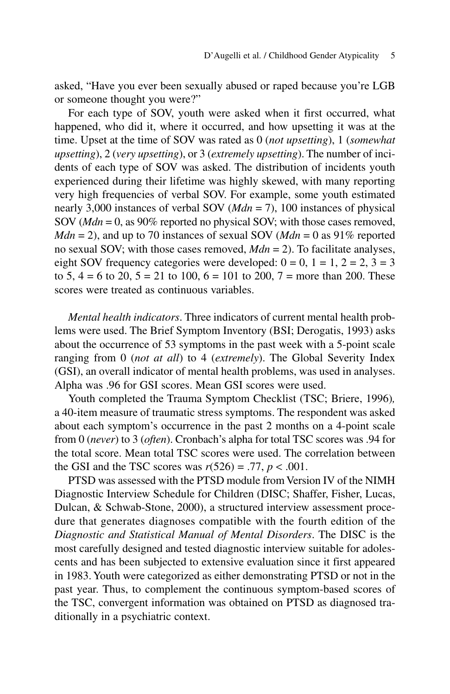asked, "Have you ever been sexually abused or raped because you're LGB or someone thought you were?"

For each type of SOV, youth were asked when it first occurred, what happened, who did it, where it occurred, and how upsetting it was at the time. Upset at the time of SOV was rated as 0 (*not upsetting*), 1 (*somewhat upsetting*), 2 (*very upsetting*), or 3 (*extremely upsetting*). The number of incidents of each type of SOV was asked. The distribution of incidents youth experienced during their lifetime was highly skewed, with many reporting very high frequencies of verbal SOV. For example, some youth estimated nearly 3,000 instances of verbal SOV (*Mdn* = 7), 100 instances of physical SOV (*Mdn* = 0, as 90% reported no physical SOV; with those cases removed, *Mdn* = 2), and up to 70 instances of sexual SOV (*Mdn* = 0 as 91% reported no sexual SOV; with those cases removed, *Mdn* = 2). To facilitate analyses, eight SOV frequency categories were developed:  $0 = 0$ ,  $1 = 1$ ,  $2 = 2$ ,  $3 = 3$ to 5,  $4 = 6$  to 20,  $5 = 21$  to 100,  $6 = 101$  to 200,  $7 =$  more than 200. These scores were treated as continuous variables.

*Mental health indicators*. Three indicators of current mental health problems were used. The Brief Symptom Inventory (BSI; Derogatis, 1993) asks about the occurrence of 53 symptoms in the past week with a 5-point scale ranging from 0 (*not at all*) to 4 (*extremely*). The Global Severity Index (GSI), an overall indicator of mental health problems, was used in analyses. Alpha was .96 for GSI scores. Mean GSI scores were used.

Youth completed the Trauma Symptom Checklist (TSC; Briere, 1996)*,* a 40-item measure of traumatic stress symptoms. The respondent was asked about each symptom's occurrence in the past 2 months on a 4-point scale from 0 (*never*) to 3 (*often*). Cronbach's alpha for total TSC scores was .94 for the total score. Mean total TSC scores were used. The correlation between the GSI and the TSC scores was  $r(526) = .77$ ,  $p < .001$ .

PTSD was assessed with the PTSD module from Version IV of the NIMH Diagnostic Interview Schedule for Children (DISC; Shaffer, Fisher, Lucas, Dulcan, & Schwab-Stone, 2000), a structured interview assessment procedure that generates diagnoses compatible with the fourth edition of the *Diagnostic and Statistical Manual of Mental Disorders*. The DISC is the most carefully designed and tested diagnostic interview suitable for adolescents and has been subjected to extensive evaluation since it first appeared in 1983. Youth were categorized as either demonstrating PTSD or not in the past year. Thus, to complement the continuous symptom-based scores of the TSC, convergent information was obtained on PTSD as diagnosed traditionally in a psychiatric context.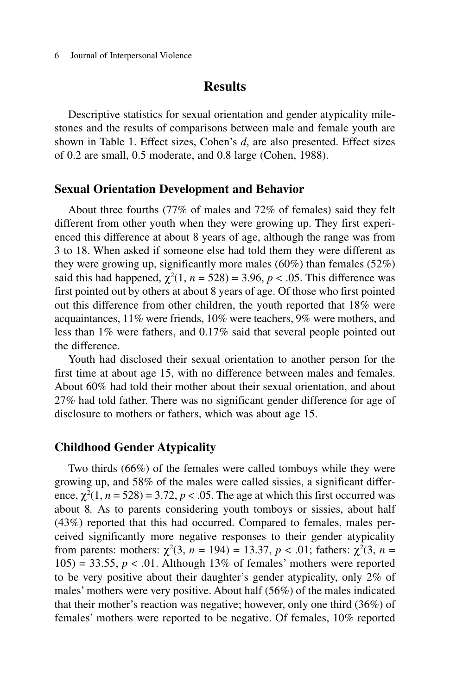## **Results**

Descriptive statistics for sexual orientation and gender atypicality milestones and the results of comparisons between male and female youth are shown in Table 1. Effect sizes, Cohen's *d*, are also presented. Effect sizes of 0.2 are small, 0.5 moderate, and 0.8 large (Cohen, 1988).

#### **Sexual Orientation Development and Behavior**

About three fourths (77% of males and 72% of females) said they felt different from other youth when they were growing up. They first experienced this difference at about 8 years of age, although the range was from 3 to 18. When asked if someone else had told them they were different as they were growing up, significantly more males (60%) than females (52%) said this had happened,  $\chi^2(1, n = 528) = 3.96$ ,  $p < .05$ . This difference was first pointed out by others at about 8 years of age. Of those who first pointed out this difference from other children, the youth reported that 18% were acquaintances, 11% were friends, 10% were teachers, 9% were mothers, and less than 1% were fathers, and 0.17% said that several people pointed out the difference.

Youth had disclosed their sexual orientation to another person for the first time at about age 15, with no difference between males and females. About 60% had told their mother about their sexual orientation, and about 27% had told father. There was no significant gender difference for age of disclosure to mothers or fathers, which was about age 15.

### **Childhood Gender Atypicality**

Two thirds (66%) of the females were called tomboys while they were growing up, and 58% of the males were called sissies, a significant difference,  $\chi^2(1, n = 528) = 3.72$ ,  $p < .05$ . The age at which this first occurred was about 8*.* As to parents considering youth tomboys or sissies, about half (43%) reported that this had occurred. Compared to females, males perceived significantly more negative responses to their gender atypicality from parents: mothers:  $\chi^2(3, n = 194) = 13.37, p < .01$ ; fathers:  $\chi^2(3, n =$ 105) = 33.55,  $p < .01$ . Although 13% of females' mothers were reported to be very positive about their daughter's gender atypicality, only 2% of males' mothers were very positive. About half (56%) of the males indicated that their mother's reaction was negative; however, only one third (36%) of females' mothers were reported to be negative. Of females, 10% reported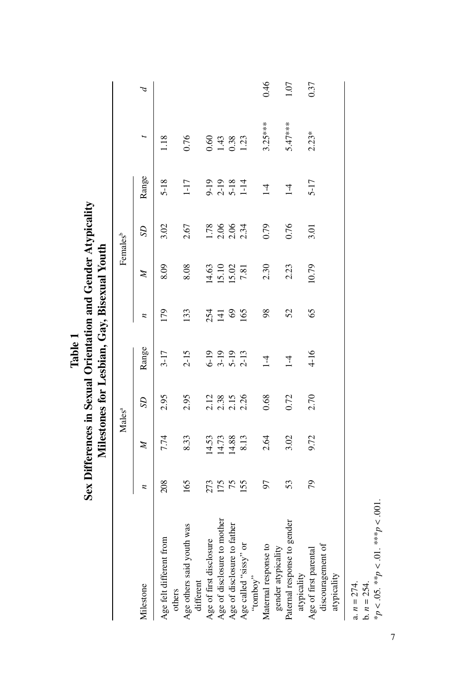|                                                           |     |       |                    | Sex Differences in Sexual Orientation and Gender Atypicality<br>Milestones for Lesbian, Gay, Bisexual Youth |                |       |                      |                  |           |                |
|-----------------------------------------------------------|-----|-------|--------------------|-------------------------------------------------------------------------------------------------------------|----------------|-------|----------------------|------------------|-----------|----------------|
|                                                           |     |       | Males <sup>a</sup> |                                                                                                             |                |       | Females <sup>b</sup> |                  |           |                |
| Milestone                                                 | z   | Z     | S <sub>D</sub>     | Range                                                                                                       | n              | Z     | S <sub>D</sub>       | Range            |           | $\overline{b}$ |
| Age felt different from<br>others                         | 208 | 7.74  | 2.95               | $3 - 17$                                                                                                    | 179            | 8.09  | 3.02                 | $5 - 18$         | 1.18      |                |
| Age others said youth was<br>different                    | 165 | 8.33  | 2.95               | $2 - 15$                                                                                                    | 133            | 8.08  | 2.67                 | $1-17$           | 0.76      |                |
| Age of first disclosure                                   |     | 14.53 |                    |                                                                                                             |                | 14.63 |                      |                  | 0.60      |                |
| Age of disclosure to mother                               | 273 | 14.73 | 2.12               | $6-19$<br>3-19                                                                                              | 254<br>141     | 15.10 | $1.78$<br>2.06       | $9-19$<br>$2-19$ | 1.43      |                |
| Age of disclosure to father                               | 75  | 14.88 | 2.15               | $5-19$                                                                                                      | $\mathbb{S}^3$ | 15.02 | 2.06                 | $5 - 18$         | 0.38      |                |
| Age called "sissy" or<br>"tomboy"                         | 155 | 8.13  | 2.26               | $2 - 13$                                                                                                    | 165            | 7.81  | 2.34                 | $1-14$           | 1.23      |                |
| Maternal response to<br>gender atypicality                | 56  | 2.64  | 0.68               | $1-4$                                                                                                       | 98             | 2.30  | 0.79                 | $1-4$            | $3.25***$ | 0.46           |
| Paternal response to gender<br>atypicality                | 53  | 3.02  | 0.72               | $\overline{1}$                                                                                              | 52             | 2.23  | 0.76                 | $1-4$            | $5.47***$ | 1.07           |
| discouragement of<br>Age of first parental<br>atypicality | 79  | 9.72  | 2.70               | 4-16                                                                                                        | 65             | 10.79 | 3.01                 | $5 - 17$         | $2.23*$   | 0.37           |

**Table 1**

a. *n* = 274.  $b. n = 254.$ 

a.  $n = 274$ .<br>
b.  $n = 254$ .<br>
\* $p < .05$ . \*\* $p < .01$ . \*\*\* $p < .001$ . \**p* < .05. \*\**p* < .01. \*\*\**p* < .001.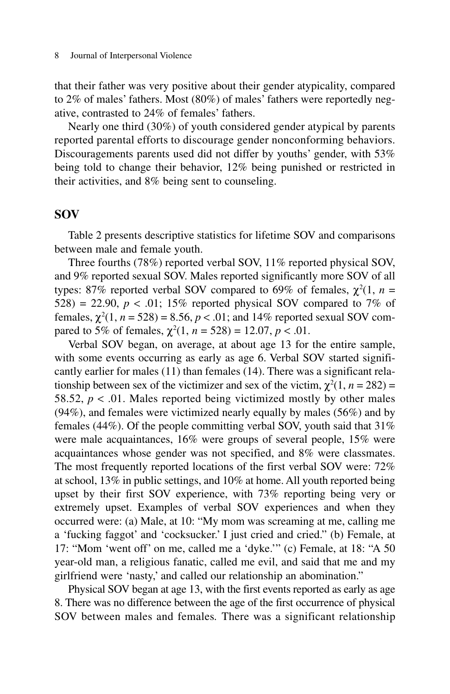that their father was very positive about their gender atypicality, compared to 2% of males' fathers. Most (80%) of males' fathers were reportedly negative, contrasted to 24% of females' fathers.

Nearly one third (30%) of youth considered gender atypical by parents reported parental efforts to discourage gender nonconforming behaviors. Discouragements parents used did not differ by youths' gender, with 53% being told to change their behavior, 12% being punished or restricted in their activities, and 8% being sent to counseling.

## **SOV**

Table 2 presents descriptive statistics for lifetime SOV and comparisons between male and female youth.

Three fourths (78%) reported verbal SOV, 11% reported physical SOV, and 9% reported sexual SOV. Males reported significantly more SOV of all types: 87% reported verbal SOV compared to 69% of females,  $\chi^2(1, n =$ 528) = 22.90,  $p < .01$ ; 15% reported physical SOV compared to 7% of females,  $\chi^2(1, n = 528) = 8.56, p < .01$ ; and 14% reported sexual SOV compared to 5% of females,  $\chi^2(1, n = 528) = 12.07, p < .01$ .

Verbal SOV began, on average, at about age 13 for the entire sample, with some events occurring as early as age 6. Verbal SOV started significantly earlier for males (11) than females (14). There was a significant relationship between sex of the victimizer and sex of the victim,  $\chi^2(1, n = 282)$  = 58.52,  $p < .01$ . Males reported being victimized mostly by other males (94%), and females were victimized nearly equally by males (56%) and by females (44%). Of the people committing verbal SOV, youth said that 31% were male acquaintances, 16% were groups of several people, 15% were acquaintances whose gender was not specified, and 8% were classmates. The most frequently reported locations of the first verbal SOV were: 72% at school, 13% in public settings, and 10% at home. All youth reported being upset by their first SOV experience, with 73% reporting being very or extremely upset. Examples of verbal SOV experiences and when they occurred were: (a) Male, at 10: "My mom was screaming at me, calling me a 'fucking faggot' and 'cocksucker.' I just cried and cried." (b) Female, at 17: "Mom 'went off' on me, called me a 'dyke.'" (c) Female, at 18: "A 50 year-old man, a religious fanatic, called me evil, and said that me and my girlfriend were 'nasty,' and called our relationship an abomination."

Physical SOV began at age 13, with the first events reported as early as age 8. There was no difference between the age of the first occurrence of physical SOV between males and females*.* There was a significant relationship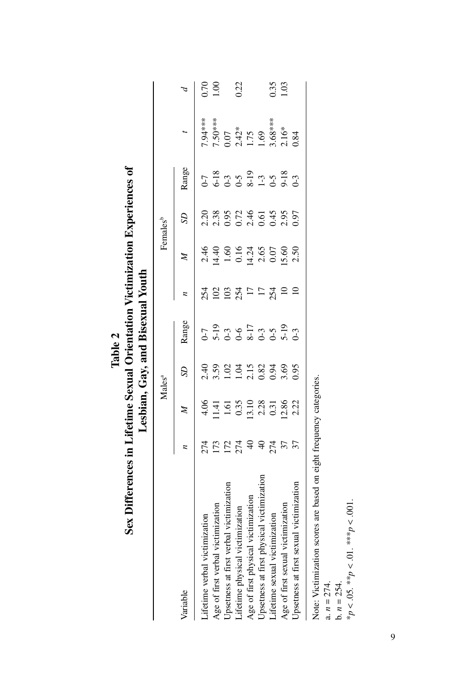|                                           |               |              |                     | Lesbian, Gay, and Bisexual Youth    |     |                        |                      |                                                              |                         |                 |
|-------------------------------------------|---------------|--------------|---------------------|-------------------------------------|-----|------------------------|----------------------|--------------------------------------------------------------|-------------------------|-----------------|
|                                           |               |              | Males <sup>a</sup>  |                                     |     |                        | Females <sup>b</sup> |                                                              |                         |                 |
| Variable                                  |               | Z            | SD                  | Range                               |     |                        | $^{5D}$              | Range                                                        |                         |                 |
| Lifetime verbal victimization             |               | 4.06         | 2.40                | $C-1$                               | 254 | 2.46                   | 2.20                 | $C-7$                                                        | 7.94***                 | 0.70            |
| Age of first verbal victimization         | 173           |              | 3.59                |                                     |     | 14.40                  | 2.38                 |                                                              | 7.50***                 | $\widetilde{S}$ |
| Upsetness at first verbal victimization   |               | 1.61         | $\overline{0}$      |                                     |     | 1.60                   | 0.95                 |                                                              | 1.07                    |                 |
| Lifetime physical victimization           | 274           | 0.35         | 1.04                | $5-19$<br>0-3<br>0-6<br>8-17<br>0-3 | 254 |                        |                      |                                                              |                         | 0.22            |
| Age of first physical victimization       | $\frac{1}{2}$ | 13.10        | $\frac{2.15}{0.82}$ |                                     |     | 0.16<br>0.4.24<br>0.07 | $0.72$<br>0.46       |                                                              | $2.42*$<br>1.75<br>1.69 |                 |
| Upsetness at first physical victimization |               |              |                     |                                     |     |                        |                      |                                                              |                         |                 |
| Lifetime sexual victimization             | 274           | 2.28<br>0.31 | 0.94                | $0-5$<br>5-19                       | 254 |                        | $0.45$<br>$2.95$     | $6-18$<br>$0-3$<br>$0-5$<br>$0-3$<br>$1-5$<br>$0-3$<br>$0-3$ | $3.68***$               | 0.35            |
| Age of first sexual victimization         |               | 12.86        | 3.69                |                                     |     | 15.60                  |                      |                                                              | $2.16*$                 | 03              |
| Upsetness at first sexual victimization   |               | 2.22         | 0.95                | J <sub>3</sub>                      |     | 2.50                   | 0.97                 |                                                              | 0.84                    |                 |
|                                           |               |              |                     |                                     |     |                        |                      |                                                              |                         |                 |

|                      | «rion Experiences or                |                                |
|----------------------|-------------------------------------|--------------------------------|
|                      | <sup>7</sup> ictimizatio.           |                                |
| l<br>J<br>ຸ<br>Table | es in Lifetime Sexual Orientation V | Lachian Cay and Bicaynal Vauth |
|                      |                                     |                                |
|                      |                                     |                                |
|                      | Terence                             |                                |
|                      | Sex Diff                            |                                |

Note: Victimization scores are based on eight frequency categories.<br>
a.  $n = 274$ .<br>
b.  $n = 254$ .<br>
\* $p < .01$ . \*\*\* $p < .001$ . Note: Victimization scores are based on eight frequency categories.

a. *n* = 274.

 $b. n = 254.$ \**p* < .05. \*\**p* < .01. \*\*\**p* < .001.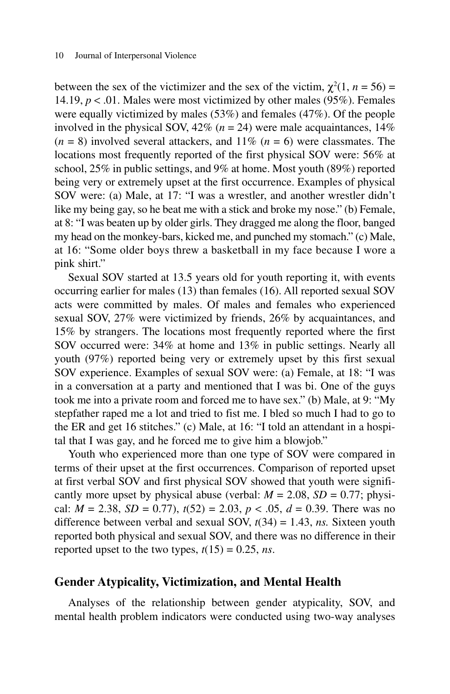between the sex of the victimizer and the sex of the victim,  $\chi^2(1, n = 56)$  = 14.19,  $p < 0.01$ . Males were most victimized by other males (95%). Females were equally victimized by males (53%) and females (47%). Of the people involved in the physical SOV,  $42\%$  ( $n = 24$ ) were male acquaintances,  $14\%$  $(n = 8)$  involved several attackers, and 11%  $(n = 6)$  were classmates. The locations most frequently reported of the first physical SOV were: 56% at school, 25% in public settings, and 9% at home. Most youth (89%) reported being very or extremely upset at the first occurrence. Examples of physical SOV were: (a) Male, at 17: "I was a wrestler, and another wrestler didn't like my being gay, so he beat me with a stick and broke my nose." (b) Female, at 8: "I was beaten up by older girls. They dragged me along the floor, banged my head on the monkey-bars, kicked me, and punched my stomach." (c) Male, at 16: "Some older boys threw a basketball in my face because I wore a pink shirt."

Sexual SOV started at 13.5 years old for youth reporting it, with events occurring earlier for males (13) than females (16). All reported sexual SOV acts were committed by males. Of males and females who experienced sexual SOV, 27% were victimized by friends, 26% by acquaintances, and 15% by strangers. The locations most frequently reported where the first SOV occurred were: 34% at home and 13% in public settings. Nearly all youth (97%) reported being very or extremely upset by this first sexual SOV experience. Examples of sexual SOV were: (a) Female, at 18: "I was in a conversation at a party and mentioned that I was bi. One of the guys took me into a private room and forced me to have sex." (b) Male, at 9: "My stepfather raped me a lot and tried to fist me. I bled so much I had to go to the ER and get 16 stitches." (c) Male, at 16: "I told an attendant in a hospital that I was gay, and he forced me to give him a blowjob."

Youth who experienced more than one type of SOV were compared in terms of their upset at the first occurrences. Comparison of reported upset at first verbal SOV and first physical SOV showed that youth were significantly more upset by physical abuse (verbal:  $M = 2.08$ ,  $SD = 0.77$ ; physical:  $M = 2.38$ ,  $SD = 0.77$ ),  $t(52) = 2.03$ ,  $p < .05$ ,  $d = 0.39$ . There was no difference between verbal and sexual SOV,  $t(34) = 1.43$ , *ns.* Sixteen youth reported both physical and sexual SOV, and there was no difference in their reported upset to the two types,  $t(15) = 0.25$ , *ns*.

#### **Gender Atypicality, Victimization, and Mental Health**

Analyses of the relationship between gender atypicality, SOV, and mental health problem indicators were conducted using two-way analyses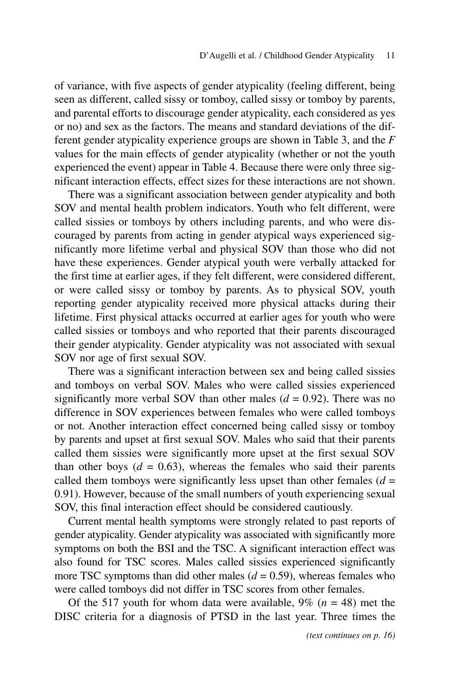of variance, with five aspects of gender atypicality (feeling different, being seen as different, called sissy or tomboy, called sissy or tomboy by parents, and parental efforts to discourage gender atypicality, each considered as yes or no) and sex as the factors. The means and standard deviations of the different gender atypicality experience groups are shown in Table 3, and the *F* values for the main effects of gender atypicality (whether or not the youth experienced the event) appear in Table 4. Because there were only three significant interaction effects, effect sizes for these interactions are not shown.

There was a significant association between gender atypicality and both SOV and mental health problem indicators. Youth who felt different, were called sissies or tomboys by others including parents, and who were discouraged by parents from acting in gender atypical ways experienced significantly more lifetime verbal and physical SOV than those who did not have these experiences. Gender atypical youth were verbally attacked for the first time at earlier ages, if they felt different, were considered different, or were called sissy or tomboy by parents. As to physical SOV, youth reporting gender atypicality received more physical attacks during their lifetime. First physical attacks occurred at earlier ages for youth who were called sissies or tomboys and who reported that their parents discouraged their gender atypicality. Gender atypicality was not associated with sexual SOV nor age of first sexual SOV.

There was a significant interaction between sex and being called sissies and tomboys on verbal SOV. Males who were called sissies experienced significantly more verbal SOV than other males  $(d = 0.92)$ . There was no difference in SOV experiences between females who were called tomboys or not. Another interaction effect concerned being called sissy or tomboy by parents and upset at first sexual SOV. Males who said that their parents called them sissies were significantly more upset at the first sexual SOV than other boys  $(d = 0.63)$ , whereas the females who said their parents called them tomboys were significantly less upset than other females  $(d =$ 0.91). However, because of the small numbers of youth experiencing sexual SOV, this final interaction effect should be considered cautiously.

Current mental health symptoms were strongly related to past reports of gender atypicality. Gender atypicality was associated with significantly more symptoms on both the BSI and the TSC. A significant interaction effect was also found for TSC scores. Males called sissies experienced significantly more TSC symptoms than did other males  $(d = 0.59)$ , whereas females who were called tomboys did not differ in TSC scores from other females.

Of the 517 youth for whom data were available,  $9\%$  ( $n = 48$ ) met the DISC criteria for a diagnosis of PTSD in the last year. Three times the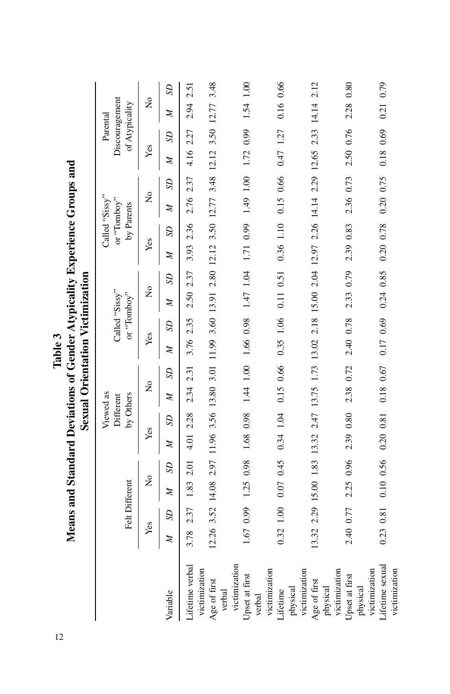|                               |      |                |                                                                                                               |           |              |                        | Sexual Offentation Victimization |           |           |                |               |               |              |                               |              |    |           |                |                      |                |
|-------------------------------|------|----------------|---------------------------------------------------------------------------------------------------------------|-----------|--------------|------------------------|----------------------------------|-----------|-----------|----------------|---------------|---------------|--------------|-------------------------------|--------------|----|-----------|----------------|----------------------|----------------|
|                               |      |                |                                                                                                               |           |              | Viewed as<br>Different |                                  |           |           | Called "Sissy" |               |               |              | Called "Sissy"<br>or "Tomboy" |              |    |           | Parental       | Discouragement       |                |
|                               |      |                | Felt Different                                                                                                |           |              | by Others              |                                  |           |           | or "Tomboy"    |               |               |              | by Parents                    |              |    |           | of Atypicality |                      |                |
|                               |      | Yes            |                                                                                                               | ž         | Yes          |                        | ž                                |           | Yes       |                | $\frac{1}{2}$ |               | Yes          |                               | ż            |    | Yes       |                | $\tilde{\mathsf{z}}$ |                |
| Variable                      | z    | $\overline{c}$ | Z                                                                                                             | $^{5}$    | $\mathbb{Z}$ | SD                     | Z                                | $^{5}$    | Z         | SD             | Z             | $\mathcal{S}$ | $\mathbb{Z}$ | $\mathcal{L}$                 | $\mathbb{Z}$ | SD | Z         | SD             | z                    | S <sub>D</sub> |
| Lifetime verbal               | 3.78 | 2.37           |                                                                                                               | 1.83 2.01 |              | 4.01 2.28              | 2.34 2.31                        |           | 3.76 2.35 |                | 2.50 2.37     |               | 3.93 2.36    |                               | 2.76 2.37    |    | 4.16 2.27 |                | 2.94 2.51            |                |
| victimization<br>Age of first |      |                | 12.26 3.52 14.08 2.97 11.96 3.56 13.80 3.01 11.99 3.60 13.91 2.80 12.12 3.50 12.17 3.48 12.12 3.50 12.77 3.48 |           |              |                        |                                  |           |           |                |               |               |              |                               |              |    |           |                |                      |                |
| victimization<br>verbal       |      |                |                                                                                                               |           |              |                        |                                  |           |           |                |               |               |              |                               |              |    |           |                |                      |                |
| Upset at first<br>verbal      |      | 1.67 0.99      |                                                                                                               | 1.25 0.98 |              | 1.68 0.98              | $1.44$ $1.00$                    |           | 1.66 0.98 |                |               | 1.47 1.04     | 1.71 0.99    |                               | 1.49 1.00    |    | 1.72 0.99 |                | 1.54 1.00            |                |
| victimization                 |      |                |                                                                                                               |           |              |                        |                                  |           |           |                |               |               |              |                               |              |    |           |                |                      |                |
| physical<br>Lifetime          |      | 0.32 1.00      |                                                                                                               | 0.07 0.45 |              | $0.34$ 1.04            |                                  | 0.15 0.66 | 0.35 1.06 |                |               | 0.11 0.51     | 0.36 1.10    |                               | 0.15 0.66    |    | 0.47 1.27 |                | 0.16 0.66            |                |
| victimization                 |      |                |                                                                                                               |           |              |                        |                                  |           |           |                |               |               |              |                               |              |    |           |                |                      |                |
| Age of first<br>physical      |      |                | 13.32 2.29 15.00 1.83 13.32 2.47 13.75 1.73 13.02 2.18 15.00 2.04 12.97 2.26 14.14 2.29 12.65 2.33 14.14 2.12 |           |              |                        |                                  |           |           |                |               |               |              |                               |              |    |           |                |                      |                |
| victimization                 |      |                |                                                                                                               |           |              |                        |                                  |           |           |                |               |               |              |                               |              |    |           |                |                      |                |
| Upset at first<br>physical    |      | 2.40 0.77      |                                                                                                               | 2.25 0.96 |              | 2.39 0.80              | 2.38 0.72                        |           | 2.40 0.78 |                | 2.33 0.79     |               | 2.39 0.83    |                               | 2.36 0.73    |    | 2.50 0.76 |                | 2.28 0.80            |                |
| victimization                 |      |                |                                                                                                               |           |              |                        |                                  |           |           |                |               |               |              |                               |              |    |           |                |                      |                |
| Lifetime sexual               |      | 0.23 0.81      |                                                                                                               | 0.10 0.56 |              | 0.20 0.81              |                                  | 0.18 0.67 |           | 0.17 0.69      | 0.24 0.85     |               | 0.20 0.78    |                               | 0.20 0.75    |    | 0.18 0.69 |                | 0.21 0.79            |                |
| victimization                 |      |                |                                                                                                               |           |              |                        |                                  |           |           |                |               |               |              |                               |              |    |           |                |                      |                |

Means and Standard Deviations of Gender Atypicality Experience Groups and<br>Sexual Orientation Victimization **Means and Standard Deviations of Gender Atypicality Experience Groups and Sexual Orientation Victimization** Table 3  $12$ **Table 3** 

| ï |
|---|
| I |
|   |
|   |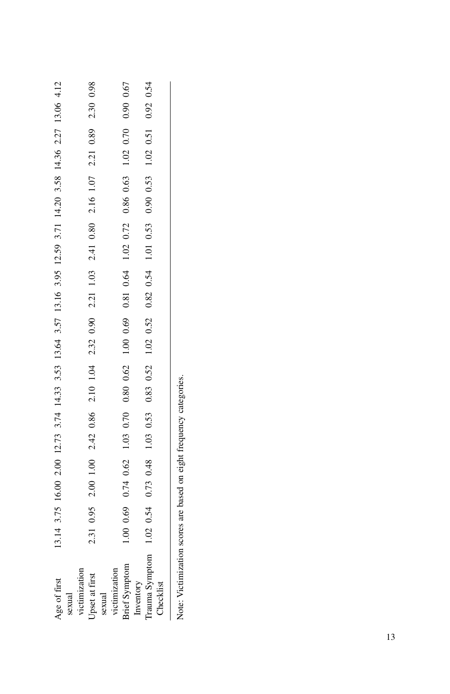| sexual                                                                                                        |                   |  |  |  | 13.14 3.75 16.00 2.00 12.73 3.74 14.33 3.53 13.64 3.57 13.16 3.95 12.59 3.71 14.20 3.58 14.36 2.27 13.06 4.12 |  |  |  |  |  |
|---------------------------------------------------------------------------------------------------------------|-------------------|--|--|--|---------------------------------------------------------------------------------------------------------------|--|--|--|--|--|
|                                                                                                               |                   |  |  |  |                                                                                                               |  |  |  |  |  |
| victimization                                                                                                 |                   |  |  |  |                                                                                                               |  |  |  |  |  |
| Upset at first                                                                                                | 2.31              |  |  |  | 0.95 2.00 1.00 2.42 0.86 2.10 1.04 2.32 0.90 2.21 1.03 2.41 0.80 2.16 1.07 2.21 0.89 2.30 0.98                |  |  |  |  |  |
| sexual                                                                                                        |                   |  |  |  |                                                                                                               |  |  |  |  |  |
| victimization                                                                                                 |                   |  |  |  |                                                                                                               |  |  |  |  |  |
| <b>Brief Symptom</b>                                                                                          | 1.00 <sub>1</sub> |  |  |  |                                                                                                               |  |  |  |  |  |
| Inventory                                                                                                     |                   |  |  |  |                                                                                                               |  |  |  |  |  |
| Trauma Symptom 1.02 0.54 0.73 0.48 1.03 0.53 0.83 0.83 0.83 0.82 0.52 0.54 1.01 0.53 0.53 1.02 0.51 0.54 0.54 |                   |  |  |  |                                                                                                               |  |  |  |  |  |
| Checklist                                                                                                     |                   |  |  |  |                                                                                                               |  |  |  |  |  |
|                                                                                                               |                   |  |  |  |                                                                                                               |  |  |  |  |  |

Note: Victimization scores are based on eight frequency categories. Note: Victimization scores are based on eight frequency categories.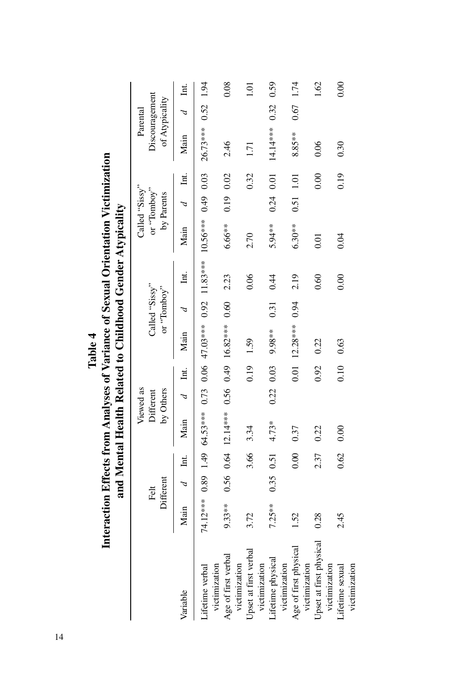| Interaction Effects from Analyses of Variance of Sexual Orientation Victimizati<br>Table 4 | and Mantal Hoalth Dalatad to Childhood Candor Atunicality |
|--------------------------------------------------------------------------------------------|-----------------------------------------------------------|
|--------------------------------------------------------------------------------------------|-----------------------------------------------------------|

|                                        |             |                   |      |                       |                        |           | and Mental Health Related to Childhood Gender Atypicality |                                     |      |                   |                           |               |                     |                |      |
|----------------------------------------|-------------|-------------------|------|-----------------------|------------------------|-----------|-----------------------------------------------------------|-------------------------------------|------|-------------------|---------------------------|---------------|---------------------|----------------|------|
|                                        |             |                   |      |                       | Viewed as              |           |                                                           |                                     |      |                   | Called "Sissy"            |               |                     | Parental       |      |
|                                        |             | Different<br>Felt |      |                       | by Others<br>Different |           |                                                           | Called "Sissy"<br>or $T$ ombo $v$ " |      |                   | or "Tomboy"<br>by Parents |               | Discouragement      | of Atypicality |      |
| Variable                               | Main d Int. |                   |      | Main d Int.           |                        |           | Main d Int.                                               |                                     |      | Main d Int.       |                           |               | Main                | d Int.         |      |
| victimization<br>Lifetime verbal       |             |                   |      |                       |                        |           |                                                           |                                     |      |                   |                           |               |                     |                |      |
| Age of first verbal<br>victimization   | $9.33***$   |                   |      |                       |                        |           | $0.56$ $0.64$ $12.14***$ $0.56$ $0.49$ $16.82***$ $0.60$  |                                     | 2.23 | $6.66***$         | $0.19$ $0.02$             |               | 2.46                |                | 0.08 |
| Upset at first verbal<br>victimization | 3.72        |                   | 3.66 | 3.34                  |                        | 0.19      | 1.59                                                      |                                     | 0.06 | 2.70              |                           | 0.32          | 1.71                |                | 1.01 |
| Lifetime physical<br>victimization     | $7.25**$    |                   |      | $0.35$ $0.51$ $4.73*$ |                        | 0.22 0.03 | 9.98**                                                    | 0.31                                | 0.44 | 5.94 **           |                           | $0.24$ $0.01$ | 14.14*** 0.32 0.59  |                |      |
| Age of first physical<br>victimization | 1.52        |                   | 0.00 | 0.37                  |                        |           | $0.01$ 12.28*** 0.94                                      |                                     | 2.19 | $6.30***$         |                           | 0.51 1.01     | $8.85***$ 0.67 1.74 |                |      |
| Upset at first physical 0.28           |             |                   | 2.37 | 0.22                  |                        |           | $0.92$ $0.22$                                             |                                     | 0.60 | $\overline{0.01}$ |                           | 0.00          | 0.06                |                | 1.62 |

 $0.22$ 0.63

0.92  $0.10$ 

0.22  $0.00\,$ 

2.37 0.62

 $0.28$  $2.45$ 

 $0.00$  $0.19$ 

 $0.01\,$  $0.04$ 

0.60  $0.00\,$ 

 $0.00$ 

 $0.30$ 

Lifetime sexual 2.45 0.62 0.00 0.10 0.63 0.00 0.04 0.19 0.30 0.00

victimization

victimization Lifetime sexual victimization

victimization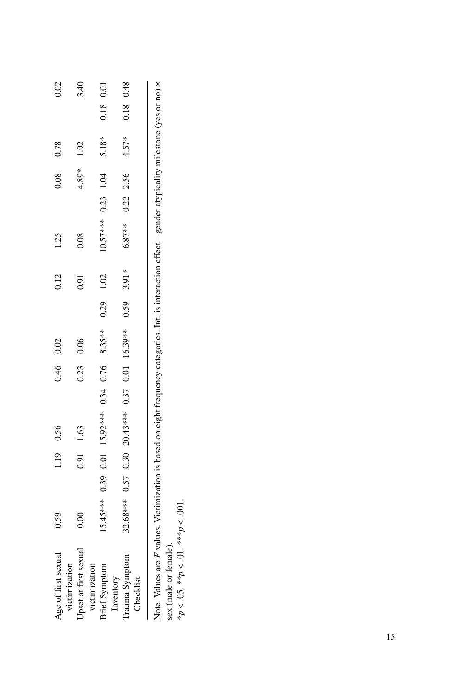| Age of first sexual<br>victimization  | 0.59 |  | 1.19 0.56                                                |  | $0.46$ 0.02 | 0.12 | 1.25                 | 0.08       | 0.78  |           | 0.02              |
|---------------------------------------|------|--|----------------------------------------------------------|--|-------------|------|----------------------|------------|-------|-----------|-------------------|
| Upset at first sexual                 | 0.00 |  | 0.91 1.63                                                |  | $0.23$ 0.06 | 0.91 | 0.08                 | 4.89* 1.92 |       |           | 3.40              |
| victimization<br><b>Brief Symptom</b> |      |  | $15.45***$ 0.39 0.01 15.92*** 0.34 0.76 8.35** 0.29 1.02 |  |             |      | $10.57***$ 0.23 1.04 |            | 5.18* | 0.18 0.01 |                   |
| Trauma Symptom<br>Inventory           |      |  | 32.68*** 0.57 0.30 20.43*** 0.37 0.01 16.39** 0.59 3.91* |  |             |      | $6.87***$ 0.22 2.56  |            |       |           |                   |
| Checklist                             |      |  |                                                          |  |             |      |                      |            |       |           | $4.57*$ 0.18 0.48 |

tone (yes or no)  $\times$ Note: Values are *F* values. Victimization is based on eight frequency categories. Int. is interaction effect—gender atypicality milestone (yes or no) × Ę î ard Cin  $\overline{\phantom{a}}$  $\vec{B}$ ĺ đ nann i d<br>i Note: values are *r* values. Vicumin<br>sex (male or female).<br> $*_{p < .05}$ .  $*_{p < .01}$ .  $*_{p > .01}$ . sex (male or female).

\**p* < .05. \*\**p* < .01. \*\*\**p* < .001.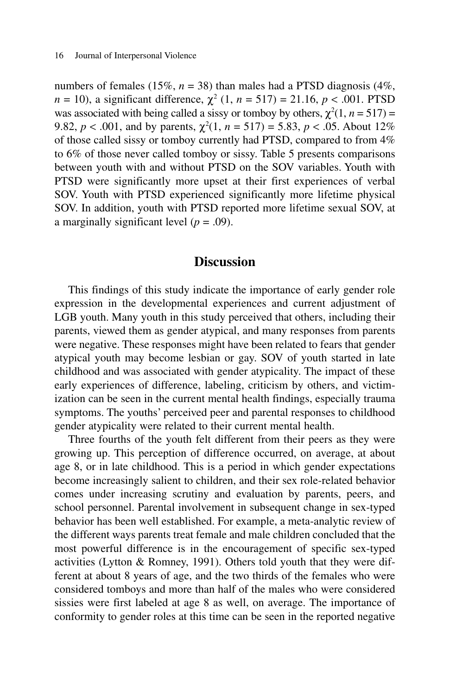numbers of females (15%,  $n = 38$ ) than males had a PTSD diagnosis (4%, *n* = 10), a significant difference,  $\chi^2$  (1, *n* = 517) = 21.16, *p* < .001. PTSD was associated with being called a sissy or tomboy by others,  $\chi^2(1, n = 517)$  = 9.82,  $p < .001$ , and by parents,  $\chi^2(1, n = 517) = 5.83$ ,  $p < .05$ . About 12% of those called sissy or tomboy currently had PTSD, compared to from 4% to 6% of those never called tomboy or sissy. Table 5 presents comparisons between youth with and without PTSD on the SOV variables. Youth with PTSD were significantly more upset at their first experiences of verbal SOV. Youth with PTSD experienced significantly more lifetime physical SOV. In addition, youth with PTSD reported more lifetime sexual SOV, at a marginally significant level  $(p = .09)$ .

## **Discussion**

This findings of this study indicate the importance of early gender role expression in the developmental experiences and current adjustment of LGB youth. Many youth in this study perceived that others, including their parents, viewed them as gender atypical, and many responses from parents were negative. These responses might have been related to fears that gender atypical youth may become lesbian or gay. SOV of youth started in late childhood and was associated with gender atypicality. The impact of these early experiences of difference, labeling, criticism by others, and victimization can be seen in the current mental health findings, especially trauma symptoms. The youths' perceived peer and parental responses to childhood gender atypicality were related to their current mental health.

Three fourths of the youth felt different from their peers as they were growing up. This perception of difference occurred, on average, at about age 8, or in late childhood. This is a period in which gender expectations become increasingly salient to children, and their sex role-related behavior comes under increasing scrutiny and evaluation by parents, peers, and school personnel. Parental involvement in subsequent change in sex-typed behavior has been well established. For example, a meta-analytic review of the different ways parents treat female and male children concluded that the most powerful difference is in the encouragement of specific sex-typed activities (Lytton & Romney, 1991). Others told youth that they were different at about 8 years of age, and the two thirds of the females who were considered tomboys and more than half of the males who were considered sissies were first labeled at age 8 as well, on average. The importance of conformity to gender roles at this time can be seen in the reported negative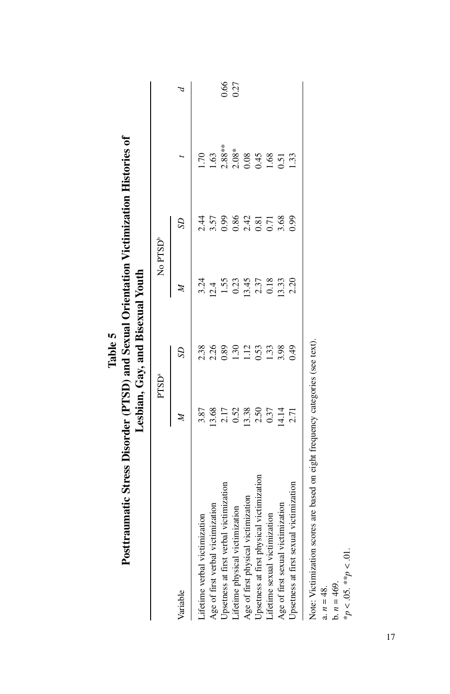| Posttraumatic Stress Disorder (PTSD) and Sexual Orientation Victimization Histories of |                   | Lesbian, Gay, and Bisexual Youth |                      |                 |                 |      |
|----------------------------------------------------------------------------------------|-------------------|----------------------------------|----------------------|-----------------|-----------------|------|
|                                                                                        | PTSD <sup>a</sup> |                                  | No PTSD <sup>b</sup> |                 |                 |      |
| Variable                                                                               | z                 | SD                               | $\mathbb{Z}$         | SD <sub>.</sub> |                 |      |
| Lifetime verbal victimization                                                          | 3.87              | 2.38                             | 3.24                 | $\ddot{4}$      |                 |      |
| Age of first verbal victimization                                                      | 13.68             | 2.26                             | 12.4                 | 3.57            | 63              |      |
| Upsetness at first verbal victimization                                                | 2.17              | 0.89                             | 1.55                 | 0.99            | $2.88***$       | 0.66 |
| Lifetime physical victimization                                                        | 0.52              | 1.30                             | 0.23                 | 0.86            | $2.08*$         | 0.27 |
| Age of first physical victimization                                                    | 13.38             | 1.12                             | 13.45                | 2.42            | 0.08            |      |
| Upsetness at first physical victimization                                              | 2.50              | 0.53                             | 2.37                 | 0.81            | 0.45            |      |
| Lifetime sexual victimization                                                          | 0.37              | 1.33                             | 0.18                 | 0.71            | <b>99</b>       |      |
| Age of first sexual victimization                                                      | 4.14              | 3.98                             | 13.33                | 3.68            | 0.51            |      |
| Upsetness at first sexual victimization                                                | 2.71              | 0.49                             | 2.20                 | 0.99            | $\overline{33}$ |      |

|                         | s of                                                 |  |
|-------------------------|------------------------------------------------------|--|
|                         | n Historie                                           |  |
|                         |                                                      |  |
|                         |                                                      |  |
|                         |                                                      |  |
|                         |                                                      |  |
|                         |                                                      |  |
|                         |                                                      |  |
|                         |                                                      |  |
| l                       | Disorder (PTSD) and Sexual Orientation Victimization |  |
| י אוני<br><u>ר</u><br>ק |                                                      |  |
|                         |                                                      |  |
|                         |                                                      |  |
|                         |                                                      |  |
|                         |                                                      |  |
|                         |                                                      |  |
|                         | ic Stress Di                                         |  |
|                         |                                                      |  |
|                         |                                                      |  |
|                         |                                                      |  |
|                         |                                                      |  |

Note: Victimization scores are based on eight frequency categories (see text).<br>a.  $n = 48$ .<br>b.  $n = 469$ .<br>\* $p < 0.05$ .\*\* $p < 01$ . Note: Victimization scores are based on eight frequency categories (see text).

a.  $n = 48$ .

 $b. n = 469.$ 

\**p* < .05. \*\**p* < .01.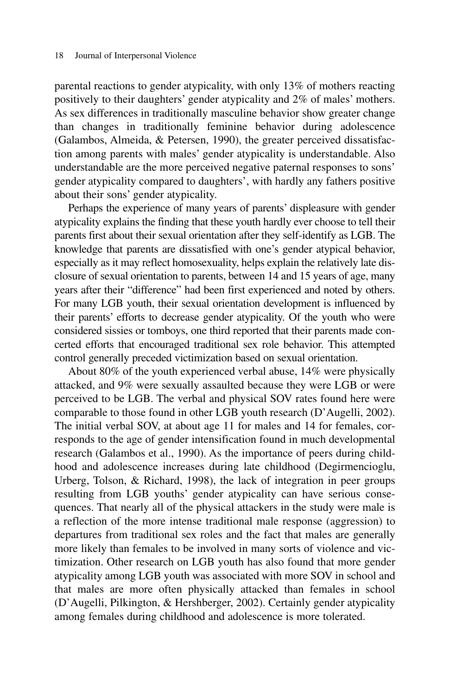parental reactions to gender atypicality, with only 13% of mothers reacting positively to their daughters' gender atypicality and 2% of males' mothers. As sex differences in traditionally masculine behavior show greater change than changes in traditionally feminine behavior during adolescence (Galambos, Almeida, & Petersen, 1990), the greater perceived dissatisfaction among parents with males' gender atypicality is understandable. Also understandable are the more perceived negative paternal responses to sons' gender atypicality compared to daughters', with hardly any fathers positive about their sons' gender atypicality.

Perhaps the experience of many years of parents' displeasure with gender atypicality explains the finding that these youth hardly ever choose to tell their parents first about their sexual orientation after they self-identify as LGB. The knowledge that parents are dissatisfied with one's gender atypical behavior, especially as it may reflect homosexuality, helps explain the relatively late disclosure of sexual orientation to parents, between 14 and 15 years of age, many years after their "difference" had been first experienced and noted by others. For many LGB youth, their sexual orientation development is influenced by their parents' efforts to decrease gender atypicality. Of the youth who were considered sissies or tomboys, one third reported that their parents made concerted efforts that encouraged traditional sex role behavior. This attempted control generally preceded victimization based on sexual orientation.

About 80% of the youth experienced verbal abuse, 14% were physically attacked, and 9% were sexually assaulted because they were LGB or were perceived to be LGB. The verbal and physical SOV rates found here were comparable to those found in other LGB youth research (D'Augelli, 2002). The initial verbal SOV, at about age 11 for males and 14 for females, corresponds to the age of gender intensification found in much developmental research (Galambos et al., 1990). As the importance of peers during childhood and adolescence increases during late childhood (Degirmencioglu, Urberg, Tolson, & Richard, 1998), the lack of integration in peer groups resulting from LGB youths' gender atypicality can have serious consequences. That nearly all of the physical attackers in the study were male is a reflection of the more intense traditional male response (aggression) to departures from traditional sex roles and the fact that males are generally more likely than females to be involved in many sorts of violence and victimization. Other research on LGB youth has also found that more gender atypicality among LGB youth was associated with more SOV in school and that males are more often physically attacked than females in school (D'Augelli, Pilkington, & Hershberger, 2002). Certainly gender atypicality among females during childhood and adolescence is more tolerated.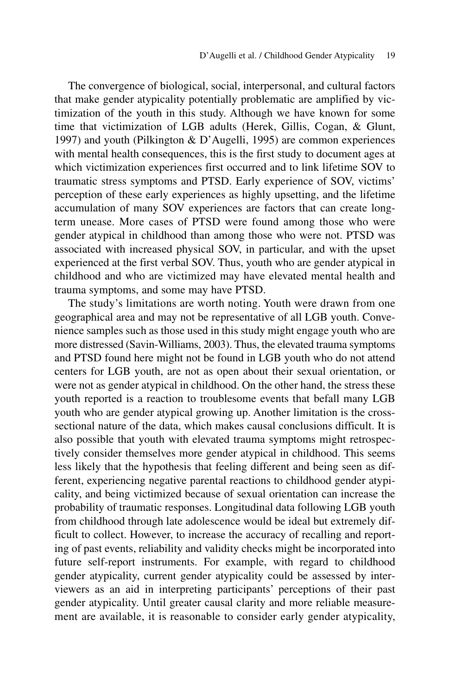The convergence of biological, social, interpersonal, and cultural factors that make gender atypicality potentially problematic are amplified by victimization of the youth in this study. Although we have known for some time that victimization of LGB adults (Herek, Gillis, Cogan, & Glunt, 1997) and youth (Pilkington & D'Augelli, 1995) are common experiences with mental health consequences, this is the first study to document ages at which victimization experiences first occurred and to link lifetime SOV to traumatic stress symptoms and PTSD. Early experience of SOV, victims' perception of these early experiences as highly upsetting, and the lifetime accumulation of many SOV experiences are factors that can create longterm unease. More cases of PTSD were found among those who were gender atypical in childhood than among those who were not. PTSD was associated with increased physical SOV, in particular, and with the upset experienced at the first verbal SOV. Thus, youth who are gender atypical in childhood and who are victimized may have elevated mental health and trauma symptoms, and some may have PTSD.

The study's limitations are worth noting. Youth were drawn from one geographical area and may not be representative of all LGB youth. Convenience samples such as those used in this study might engage youth who are more distressed (Savin-Williams, 2003). Thus, the elevated trauma symptoms and PTSD found here might not be found in LGB youth who do not attend centers for LGB youth, are not as open about their sexual orientation, or were not as gender atypical in childhood. On the other hand, the stress these youth reported is a reaction to troublesome events that befall many LGB youth who are gender atypical growing up. Another limitation is the crosssectional nature of the data, which makes causal conclusions difficult. It is also possible that youth with elevated trauma symptoms might retrospectively consider themselves more gender atypical in childhood. This seems less likely that the hypothesis that feeling different and being seen as different, experiencing negative parental reactions to childhood gender atypicality, and being victimized because of sexual orientation can increase the probability of traumatic responses. Longitudinal data following LGB youth from childhood through late adolescence would be ideal but extremely difficult to collect. However, to increase the accuracy of recalling and reporting of past events, reliability and validity checks might be incorporated into future self-report instruments. For example, with regard to childhood gender atypicality, current gender atypicality could be assessed by interviewers as an aid in interpreting participants' perceptions of their past gender atypicality. Until greater causal clarity and more reliable measurement are available, it is reasonable to consider early gender atypicality,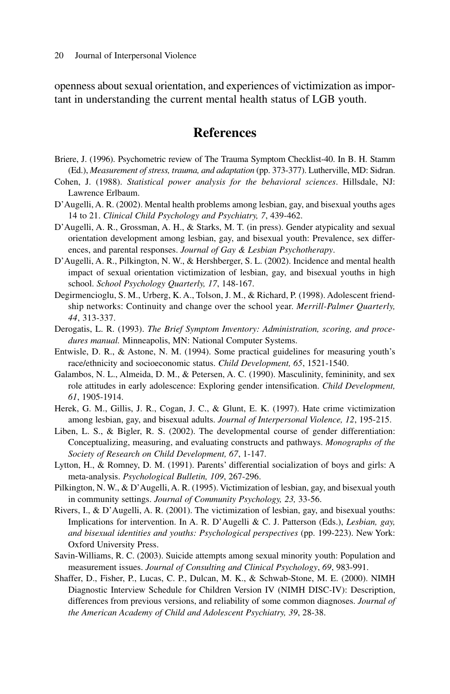openness about sexual orientation, and experiences of victimization as important in understanding the current mental health status of LGB youth.

## **References**

- Briere, J. (1996). Psychometric review of The Trauma Symptom Checklist-40. In B. H. Stamm (Ed.), *Measurement of stress, trauma, and adaptation* (pp. 373-377). Lutherville, MD: Sidran.
- Cohen, J. (1988). *Statistical power analysis for the behavioral sciences*. Hillsdale, NJ: Lawrence Erlbaum.
- D'Augelli, A. R. (2002). Mental health problems among lesbian, gay, and bisexual youths ages 14 to 21. *Clinical Child Psychology and Psychiatry, 7*, 439-462.
- D'Augelli, A. R., Grossman, A. H., & Starks, M. T. (in press). Gender atypicality and sexual orientation development among lesbian, gay, and bisexual youth: Prevalence, sex differences, and parental responses. *Journal of Gay & Lesbian Psychotherapy*.
- D'Augelli, A. R., Pilkington, N. W., & Hershberger, S. L. (2002). Incidence and mental health impact of sexual orientation victimization of lesbian, gay, and bisexual youths in high school. *School Psychology Quarterly, 17*, 148-167.
- Degirmencioglu, S. M., Urberg, K. A., Tolson, J. M., & Richard, P. (1998). Adolescent friendship networks: Continuity and change over the school year. *Merrill-Palmer Quarterly, 44*, 313-337.
- Derogatis, L. R. (1993). *The Brief Symptom Inventory: Administration, scoring, and procedures manual.* Minneapolis, MN: National Computer Systems.
- Entwisle, D. R., & Astone, N. M. (1994). Some practical guidelines for measuring youth's race/ethnicity and socioeconomic status. *Child Development, 65*, 1521-1540.
- Galambos, N. L., Almeida, D. M., & Petersen, A. C. (1990). Masculinity, femininity, and sex role attitudes in early adolescence: Exploring gender intensification. *Child Development, 61*, 1905-1914.
- Herek, G. M., Gillis, J. R., Cogan, J. C., & Glunt, E. K. (1997). Hate crime victimization among lesbian, gay, and bisexual adults. *Journal of Interpersonal Violence, 12*, 195-215.
- Liben, L. S., & Bigler, R. S. (2002). The developmental course of gender differentiation: Conceptualizing, measuring, and evaluating constructs and pathways. *Monographs of the Society of Research on Child Development, 67*, 1-147.
- Lytton, H., & Romney, D. M. (1991). Parents' differential socialization of boys and girls: A meta-analysis. *Psychological Bulletin, 109*, 267-296.
- Pilkington, N. W., & D'Augelli, A. R. (1995). Victimization of lesbian, gay, and bisexual youth in community settings. *Journal of Community Psychology, 23,* 33-56.
- Rivers, I., & D'Augelli, A. R. (2001). The victimization of lesbian, gay, and bisexual youths: Implications for intervention. In A. R. D'Augelli & C. J. Patterson (Eds.), *Lesbian, gay, and bisexual identities and youths: Psychological perspectives* (pp. 199-223). New York: Oxford University Press.
- Savin-Williams, R. C. (2003). Suicide attempts among sexual minority youth: Population and measurement issues. *Journal of Consulting and Clinical Psychology*, *69*, 983-991.
- Shaffer, D., Fisher, P., Lucas, C. P., Dulcan, M. K., & Schwab-Stone, M. E. (2000). NIMH Diagnostic Interview Schedule for Children Version IV (NIMH DISC-IV): Description, differences from previous versions, and reliability of some common diagnoses. *Journal of the American Academy of Child and Adolescent Psychiatry, 39*, 28-38.